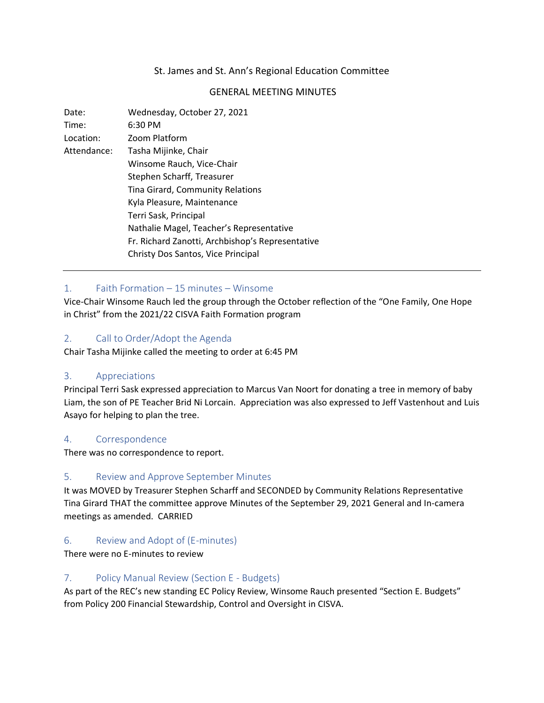## St. James and St. Ann's Regional Education Committee

### GENERAL MEETING MINUTES

| Date:       | Wednesday, October 27, 2021                      |
|-------------|--------------------------------------------------|
| Time:       | 6:30 PM                                          |
| Location:   | Zoom Platform                                    |
| Attendance: | Tasha Mijinke, Chair                             |
|             | Winsome Rauch, Vice-Chair                        |
|             | Stephen Scharff, Treasurer                       |
|             | Tina Girard, Community Relations                 |
|             | Kyla Pleasure, Maintenance                       |
|             | Terri Sask, Principal                            |
|             | Nathalie Magel, Teacher's Representative         |
|             | Fr. Richard Zanotti, Archbishop's Representative |
|             | Christy Dos Santos, Vice Principal               |
|             |                                                  |

# 1. Faith Formation – 15 minutes – Winsome

Vice-Chair Winsome Rauch led the group through the October reflection of the "One Family, One Hope in Christ" from the 2021/22 CISVA Faith Formation program

### 2. Call to Order/Adopt the Agenda

Chair Tasha Mijinke called the meeting to order at 6:45 PM

## 3. Appreciations

Principal Terri Sask expressed appreciation to Marcus Van Noort for donating a tree in memory of baby Liam, the son of PE Teacher Brid Ni Lorcain. Appreciation was also expressed to Jeff Vastenhout and Luis Asayo for helping to plan the tree.

## 4. Correspondence

There was no correspondence to report.

## 5. Review and Approve September Minutes

It was MOVED by Treasurer Stephen Scharff and SECONDED by Community Relations Representative Tina Girard THAT the committee approve Minutes of the September 29, 2021 General and In-camera meetings as amended. CARRIED

## 6. Review and Adopt of (E-minutes)

There were no E-minutes to review

## 7. Policy Manual Review (Section E - Budgets)

As part of the REC's new standing EC Policy Review, Winsome Rauch presented "Section E. Budgets" from Policy 200 Financial Stewardship, Control and Oversight in CISVA.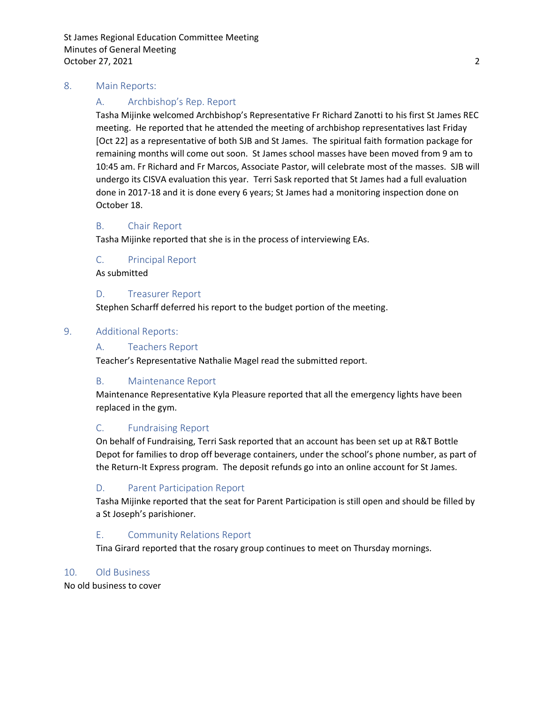St James Regional Education Committee Meeting Minutes of General Meeting October 27, 2021 2

### 8. Main Reports:

### A. Archbishop's Rep. Report

Tasha Mijinke welcomed Archbishop's Representative Fr Richard Zanotti to his first St James REC meeting. He reported that he attended the meeting of archbishop representatives last Friday [Oct 22] as a representative of both SJB and St James. The spiritual faith formation package for remaining months will come out soon. St James school masses have been moved from 9 am to 10:45 am. Fr Richard and Fr Marcos, Associate Pastor, will celebrate most of the masses. SJB will undergo its CISVA evaluation this year. Terri Sask reported that St James had a full evaluation done in 2017-18 and it is done every 6 years; St James had a monitoring inspection done on October 18.

### B. Chair Report

Tasha Mijinke reported that she is in the process of interviewing EAs.

### C. Principal Report

As submitted

### D. Treasurer Report

Stephen Scharff deferred his report to the budget portion of the meeting.

### 9. Additional Reports:

### A. Teachers Report

Teacher's Representative Nathalie Magel read the submitted report.

#### B. Maintenance Report

Maintenance Representative Kyla Pleasure reported that all the emergency lights have been replaced in the gym.

#### C. Fundraising Report

On behalf of Fundraising, Terri Sask reported that an account has been set up at R&T Bottle Depot for families to drop off beverage containers, under the school's phone number, as part of the Return-It Express program. The deposit refunds go into an online account for St James.

#### D. Parent Participation Report

Tasha Mijinke reported that the seat for Parent Participation is still open and should be filled by a St Joseph's parishioner.

## E. Community Relations Report

Tina Girard reported that the rosary group continues to meet on Thursday mornings.

#### 10. Old Business

No old business to cover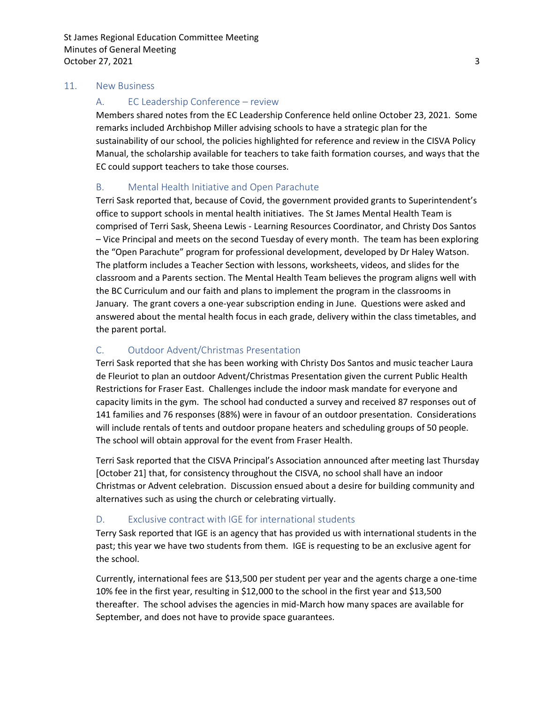#### 11. New Business

### A. EC Leadership Conference – review

Members shared notes from the EC Leadership Conference held online October 23, 2021. Some remarks included Archbishop Miller advising schools to have a strategic plan for the sustainability of our school, the policies highlighted for reference and review in the CISVA Policy Manual, the scholarship available for teachers to take faith formation courses, and ways that the EC could support teachers to take those courses.

## B. Mental Health Initiative and Open Parachute

Terri Sask reported that, because of Covid, the government provided grants to Superintendent's office to support schools in mental health initiatives. The St James Mental Health Team is comprised of Terri Sask, Sheena Lewis - Learning Resources Coordinator, and Christy Dos Santos – Vice Principal and meets on the second Tuesday of every month. The team has been exploring the "Open Parachute" program for professional development, developed by Dr Haley Watson. The platform includes a Teacher Section with lessons, worksheets, videos, and slides for the classroom and a Parents section. The Mental Health Team believes the program aligns well with the BC Curriculum and our faith and plans to implement the program in the classrooms in January. The grant covers a one-year subscription ending in June. Questions were asked and answered about the mental health focus in each grade, delivery within the class timetables, and the parent portal.

### C. Outdoor Advent/Christmas Presentation

Terri Sask reported that she has been working with Christy Dos Santos and music teacher Laura de Fleuriot to plan an outdoor Advent/Christmas Presentation given the current Public Health Restrictions for Fraser East. Challenges include the indoor mask mandate for everyone and capacity limits in the gym. The school had conducted a survey and received 87 responses out of 141 families and 76 responses (88%) were in favour of an outdoor presentation. Considerations will include rentals of tents and outdoor propane heaters and scheduling groups of 50 people. The school will obtain approval for the event from Fraser Health.

Terri Sask reported that the CISVA Principal's Association announced after meeting last Thursday [October 21] that, for consistency throughout the CISVA, no school shall have an indoor Christmas or Advent celebration. Discussion ensued about a desire for building community and alternatives such as using the church or celebrating virtually.

## D. Exclusive contract with IGE for international students

Terry Sask reported that IGE is an agency that has provided us with international students in the past; this year we have two students from them. IGE is requesting to be an exclusive agent for the school.

Currently, international fees are \$13,500 per student per year and the agents charge a one-time 10% fee in the first year, resulting in \$12,000 to the school in the first year and \$13,500 thereafter. The school advises the agencies in mid-March how many spaces are available for September, and does not have to provide space guarantees.